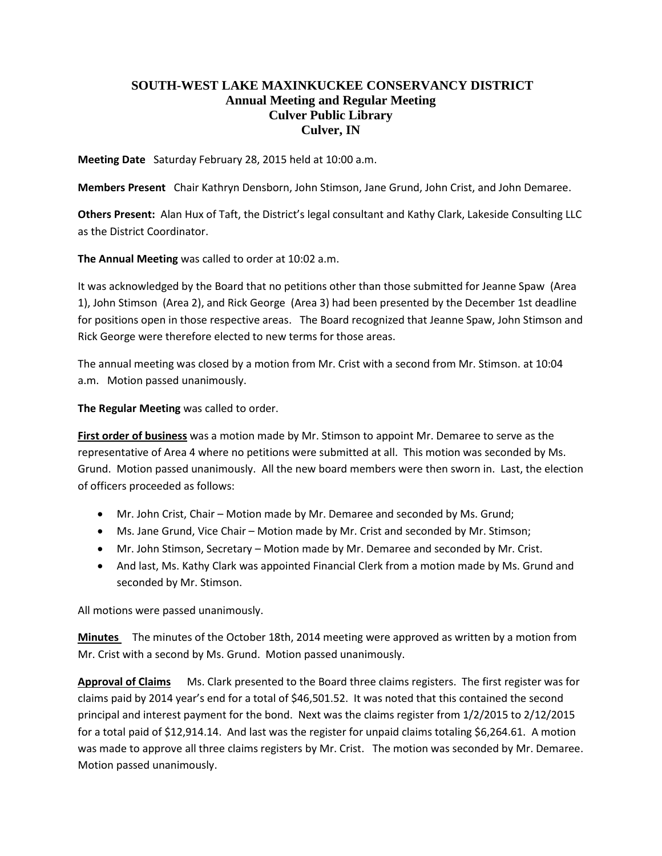## **SOUTH-WEST LAKE MAXINKUCKEE CONSERVANCY DISTRICT Annual Meeting and Regular Meeting Culver Public Library Culver, IN**

**Meeting Date** Saturday February 28, 2015 held at 10:00 a.m.

**Members Present** Chair Kathryn Densborn, John Stimson, Jane Grund, John Crist, and John Demaree.

**Others Present:** Alan Hux of Taft, the District's legal consultant and Kathy Clark, Lakeside Consulting LLC as the District Coordinator.

**The Annual Meeting** was called to order at 10:02 a.m.

It was acknowledged by the Board that no petitions other than those submitted for Jeanne Spaw (Area 1), John Stimson (Area 2), and Rick George (Area 3) had been presented by the December 1st deadline for positions open in those respective areas. The Board recognized that Jeanne Spaw, John Stimson and Rick George were therefore elected to new terms for those areas.

The annual meeting was closed by a motion from Mr. Crist with a second from Mr. Stimson. at 10:04 a.m. Motion passed unanimously.

**The Regular Meeting** was called to order.

**First order of business** was a motion made by Mr. Stimson to appoint Mr. Demaree to serve as the representative of Area 4 where no petitions were submitted at all. This motion was seconded by Ms. Grund. Motion passed unanimously. All the new board members were then sworn in. Last, the election of officers proceeded as follows:

- Mr. John Crist, Chair Motion made by Mr. Demaree and seconded by Ms. Grund;
- Ms. Jane Grund, Vice Chair Motion made by Mr. Crist and seconded by Mr. Stimson;
- Mr. John Stimson, Secretary Motion made by Mr. Demaree and seconded by Mr. Crist.
- And last, Ms. Kathy Clark was appointed Financial Clerk from a motion made by Ms. Grund and seconded by Mr. Stimson.

All motions were passed unanimously.

**Minutes** The minutes of the October 18th, 2014 meeting were approved as written by a motion from Mr. Crist with a second by Ms. Grund. Motion passed unanimously.

**Approval of Claims** Ms. Clark presented to the Board three claims registers. The first register was for claims paid by 2014 year's end for a total of \$46,501.52. It was noted that this contained the second principal and interest payment for the bond. Next was the claims register from 1/2/2015 to 2/12/2015 for a total paid of \$12,914.14. And last was the register for unpaid claims totaling \$6,264.61. A motion was made to approve all three claims registers by Mr. Crist. The motion was seconded by Mr. Demaree. Motion passed unanimously.